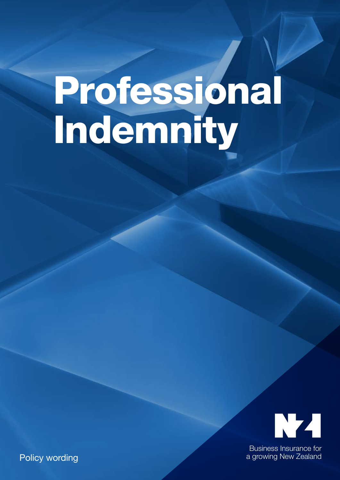# Professional Indemnity



Business Insurance for a growing New Zealand

Policy wording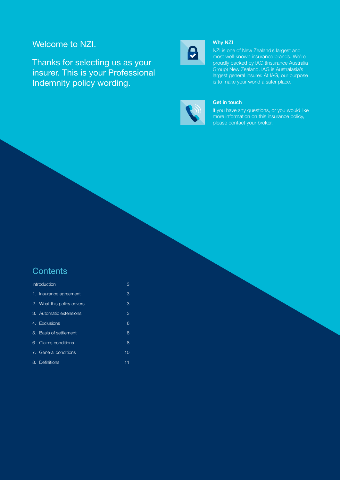## Welcome to NZI.

Thanks for selecting us as your insurer. This is your Professional Indemnity policy wording.



#### Why NZI

NZI is one of New Zealand's largest and most well-known insurance brands. We're proudly backed by IAG (Insurance Australia Group) New Zealand. IAG is Australasia's largest general insurer. At IAG, our purpose is to make your world a safer place.



#### Get in touch

If you have any questions, or you would like more information on this insurance policy, please contact your broker.

## **Contents**

| Introduction               | 3  |
|----------------------------|----|
| 1. Insurance agreement     | 3  |
| 2. What this policy covers | 3  |
| 3. Automatic extensions    | 3  |
| 4. Exclusions              | 6  |
| 5. Basis of settlement     | 8  |
| 6. Claims conditions       | 8  |
| 7. General conditions      | 10 |
| 8. Definitions             | 11 |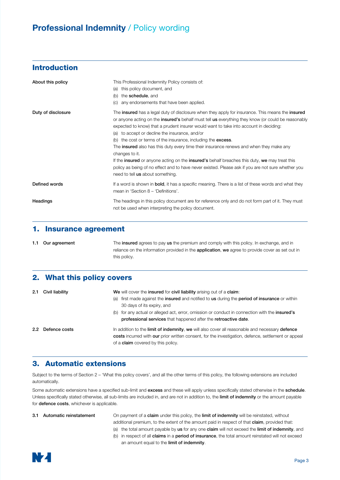## Introduction

| About this policy  | This Professional Indemnity Policy consists of:<br>this policy document, and<br>(a)<br>the <b>schedule</b> , and<br>(b)<br>any endorsements that have been applied.<br>(C)                                                                                                                                                                                                                                                                                                                                                                                                                                                                                                                                                                                                                       |
|--------------------|--------------------------------------------------------------------------------------------------------------------------------------------------------------------------------------------------------------------------------------------------------------------------------------------------------------------------------------------------------------------------------------------------------------------------------------------------------------------------------------------------------------------------------------------------------------------------------------------------------------------------------------------------------------------------------------------------------------------------------------------------------------------------------------------------|
| Duty of disclosure | The insured has a legal duty of disclosure when they apply for insurance. This means the insured<br>or anyone acting on the <b>insured's</b> behalf must tell us everything they know (or could be reasonably<br>expected to know) that a prudent insurer would want to take into account in deciding:<br>(a) to accept or decline the insurance, and/or<br>(b) the cost or terms of the insurance, including the <b>excess</b> .<br>The <b>insured</b> also has this duty every time their insurance renews and when they make any<br>changes to it.<br>If the insured or anyone acting on the insured's behalf breaches this duty, we may treat this<br>policy as being of no effect and to have never existed. Please ask if you are not sure whether you<br>need to tell us about something. |
| Defined words      | If a word is shown in <b>bold</b> , it has a specific meaning. There is a list of these words and what they<br>mean in 'Section 8 - 'Definitions'.                                                                                                                                                                                                                                                                                                                                                                                                                                                                                                                                                                                                                                               |
| Headings           | The headings in this policy document are for reference only and do not form part of it. They must<br>not be used when interpreting the policy document.                                                                                                                                                                                                                                                                                                                                                                                                                                                                                                                                                                                                                                          |

#### 1. Insurance agreement

1.1 Our agreement The insured agrees to pay us the premium and comply with this policy. In exchange, and in reliance on the information provided in the application, we agree to provide cover as set out in this policy.

#### 2. What this policy covers

| 2.1 | Civil liability   | We will cover the insured for civil liability arising out of a claim:                                                                                                                                                                              |
|-----|-------------------|----------------------------------------------------------------------------------------------------------------------------------------------------------------------------------------------------------------------------------------------------|
|     |                   | (a) first made against the insured and notified to us during the period of insurance or within<br>30 days of its expiry, and                                                                                                                       |
|     |                   | (b) for any actual or alleged act, error, omission or conduct in connection with the <b>insured's</b><br>professional services that happened after the retroactive date.                                                                           |
|     | 2.2 Defence costs | In addition to the limit of indemnity, we will also cover all reasonable and necessary defence<br>costs incurred with our prior written consent, for the investigation, defence, settlement or appeal<br>of a <b>claim</b> covered by this policy. |

## 3. Automatic extensions

Subject to the terms of Section 2 – 'What this policy covers', and all the other terms of this policy, the following extensions are included automatically.

Some automatic extensions have a specified sub-limit and excess and these will apply unless specifically stated otherwise in the schedule. Unless specifically stated otherwise, all sub-limits are included in, and are not in addition to, the limit of indemnity or the amount payable for **defence costs**, whichever is applicable.

3.1 Automatic reinstatement On payment of a claim under this policy, the limit of indemnity will be reinstated, without additional premium, to the extent of the amount paid in respect of that **claim**, provided that:

- (a) the total amount payable by us for any one claim will not exceed the limit of indemnity, and
- (b) in respect of all claims in a period of insurance, the total amount reinstated will not exceed an amount equal to the limit of indemnity.

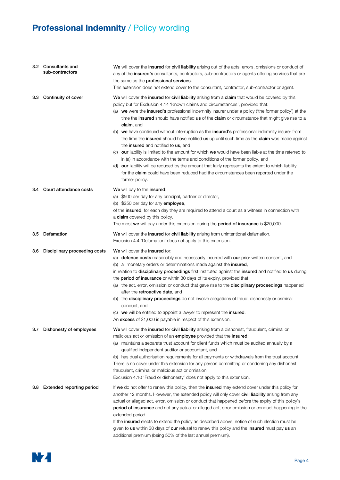|     | 3.2 Consultants and<br>sub-contractors | We will cover the insured for civil liability arising out of the acts, errors, omissions or conduct of<br>any of the insured's consultants, contractors, sub-contractors or agents offering services that are<br>the same as the professional services.<br>This extension does not extend cover to the consultant, contractor, sub-contractor or agent.                                                                                                                                                                                                                                                                                                                                                                                                                                                                                                                                                                                                                                                                                                           |
|-----|----------------------------------------|-------------------------------------------------------------------------------------------------------------------------------------------------------------------------------------------------------------------------------------------------------------------------------------------------------------------------------------------------------------------------------------------------------------------------------------------------------------------------------------------------------------------------------------------------------------------------------------------------------------------------------------------------------------------------------------------------------------------------------------------------------------------------------------------------------------------------------------------------------------------------------------------------------------------------------------------------------------------------------------------------------------------------------------------------------------------|
| 3.3 | Continuity of cover                    | We will cover the insured for civil liability arising from a claim that would be covered by this<br>policy but for Exclusion 4.14 'Known claims and circumstances', provided that:<br>(a) we were the insured's professional indemnity insurer under a policy ('the former policy') at the<br>time the insured should have notified us of the claim or circumstance that might give rise to a<br>claim, and<br>(b) we have continued without interruption as the insured's professional indemnity insurer from<br>the time the insured should have notified us up until such time as the claim was made against<br>the insured and notified to us, and<br>(c) our liability is limited to the amount for which we would have been liable at the time referred to<br>in (a) in accordance with the terms and conditions of the former policy, and<br>(d) our liability will be reduced by the amount that fairly represents the extent to which liability<br>for the claim could have been reduced had the circumstances been reported under the<br>former policy. |
| 3.4 | Court attendance costs                 | We will pay to the insured:<br>(a) \$500 per day for any principal, partner or director,<br>(b) \$250 per day for any employee,<br>of the insured, for each day they are required to attend a court as a witness in connection with<br>a claim covered by this policy.<br>The most we will pay under this extension during the period of insurance is \$20,000.                                                                                                                                                                                                                                                                                                                                                                                                                                                                                                                                                                                                                                                                                                   |
| 3.5 | Defamation                             | We will cover the insured for civil liability arising from unintentional defamation.<br>Exclusion 4.4 'Defamation' does not apply to this extension.                                                                                                                                                                                                                                                                                                                                                                                                                                                                                                                                                                                                                                                                                                                                                                                                                                                                                                              |
| 3.6 | Disciplinary proceeding costs          | We will cover the insured for:<br>(a) defence costs reasonably and necessarily incurred with our prior written consent, and<br>(b) all monetary orders or determinations made against the insured,<br>in relation to disciplinary proceedings first instituted against the insured and notified to us during<br>the <b>period of insurance</b> or within 30 days of its expiry, provided that:<br>(a) the act, error, omission or conduct that gave rise to the <b>disciplinary proceedings</b> happened<br>after the <b>retroactive date</b> , and<br>(b) the <b>disciplinary proceedings</b> do not involve allegations of fraud, dishonesty or criminal<br>conduct, and<br>(c) we will be entitled to appoint a lawyer to represent the insured.<br>An excess of \$1,000 is payable in respect of this extension.                                                                                                                                                                                                                                              |
| 3.7 | Dishonesty of employees                | <b>We</b> will cover the <b>insured</b> for <b>civil liability</b> arising from a dishonest, fraudulent, criminal or<br>malicious act or omission of an employee provided that the insured:<br>(a) maintains a separate trust account for client funds which must be audited annually by a<br>qualified independent auditor or accountant, and<br>(b) has dual authorisation requirements for all payments or withdrawals from the trust account.<br>There is no cover under this extension for any person committing or condoning any dishonest<br>fraudulent, criminal or malicious act or omission.<br>Exclusion 4.10 'Fraud or dishonesty' does not apply to this extension.                                                                                                                                                                                                                                                                                                                                                                                  |
| 3.8 | Extended reporting period              | If we do not offer to renew this policy, then the insured may extend cover under this policy for<br>another 12 months. However, the extended policy will only cover civil liability arising from any<br>actual or alleged act, error, omission or conduct that happened before the expiry of this policy's<br><b>period of insurance</b> and not any actual or alleged act, error omission or conduct happening in the<br>extended period.<br>If the insured elects to extend the policy as described above, notice of such election must be<br>given to us within 30 days of our refusal to renew this policy and the insured must pay us an<br>additional premium (being 50% of the last annual premium).                                                                                                                                                                                                                                                                                                                                                       |

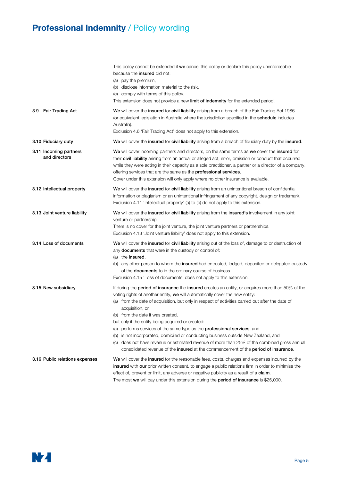|                                         | This policy cannot be extended if we cancel this policy or declare this policy unenforceable<br>because the <i>insured</i> did not:<br>(a) pay the premium,<br>(b) disclose information material to the risk,<br>(c) comply with terms of this policy.<br>This extension does not provide a new limit of indemnity for the extended period.                                                                                                                                                                                                                                                                                                                                                                                                                                              |
|-----------------------------------------|------------------------------------------------------------------------------------------------------------------------------------------------------------------------------------------------------------------------------------------------------------------------------------------------------------------------------------------------------------------------------------------------------------------------------------------------------------------------------------------------------------------------------------------------------------------------------------------------------------------------------------------------------------------------------------------------------------------------------------------------------------------------------------------|
| <b>Fair Trading Act</b><br>3.9          | We will cover the insured for civil liability arising from a breach of the Fair Trading Act 1986<br>(or equivalent legislation in Australia where the jurisdiction specified in the <b>schedule</b> includes<br>Australia).<br>Exclusion 4.6 'Fair Trading Act' does not apply to this extension.                                                                                                                                                                                                                                                                                                                                                                                                                                                                                        |
| 3.10 Fiduciary duty                     | We will cover the insured for civil liability arising from a breach of fiduciary duty by the insured.                                                                                                                                                                                                                                                                                                                                                                                                                                                                                                                                                                                                                                                                                    |
| 3.11 Incoming partners<br>and directors | We will cover incoming partners and directors, on the same terms as we cover the insured for<br>their civil liability arising from an actual or alleged act, error, omission or conduct that occurred<br>while they were acting in their capacity as a sole practitioner, a partner or a director of a company,<br>offering services that are the same as the professional services.<br>Cover under this extension will only apply where no other insurance is available.                                                                                                                                                                                                                                                                                                                |
| 3.12 Intellectual property              | We will cover the insured for civil liability arising from an unintentional breach of confidential<br>information or plagiarism or an unintentional infringement of any copyright, design or trademark.<br>Exclusion 4.11 'Intellectual property' (a) to (c) do not apply to this extension.                                                                                                                                                                                                                                                                                                                                                                                                                                                                                             |
| 3.13 Joint venture liability            | We will cover the insured for civil liability arising from the insured's involvement in any joint<br>venture or partnership.<br>There is no cover for the joint venture, the joint venture partners or partnerships.<br>Exclusion 4.13 'Joint venture liability' does not apply to this extension.                                                                                                                                                                                                                                                                                                                                                                                                                                                                                       |
| 3.14 Loss of documents                  | We will cover the insured for civil liability arising out of the loss of, damage to or destruction of<br>any <b>documents</b> that were in the custody or control of:<br>(a) the <b>insured</b> ,<br>(b) any other person to whom the insured had entrusted, lodged, deposited or delegated custody<br>of the <b>documents</b> to in the ordinary course of business.<br>Exclusion 4.15 'Loss of documents' does not apply to this extension.                                                                                                                                                                                                                                                                                                                                            |
| 3.15 New subsidiary                     | If during the <b>period of insurance</b> the <b>insured</b> creates an entity, or acquires more than 50% of the<br>voting rights of another entity, we will automatically cover the new entity:<br>(a) from the date of acquisition, but only in respect of activities carried out after the date of<br>acquisition, or<br>(b) from the date it was created,<br>but only if the entity being acquired or created:<br>performs services of the same type as the <b>professional services</b> , and<br>(a)<br>is not incorporated, domiciled or conducting business outside New Zealand, and<br>(b)<br>(c) does not have revenue or estimated revenue of more than 25% of the combined gross annual<br>consolidated revenue of the insured at the commencement of the period of insurance. |
| 3.16 Public relations expenses          | We will cover the insured for the reasonable fees, costs, charges and expenses incurred by the<br>insured with our prior written consent, to engage a public relations firm in order to minimise the<br>effect of, prevent or limit, any adverse or negative publicity as a result of a <b>claim</b> .<br>The most we will pay under this extension during the <b>period of insurance</b> is \$25,000.                                                                                                                                                                                                                                                                                                                                                                                   |

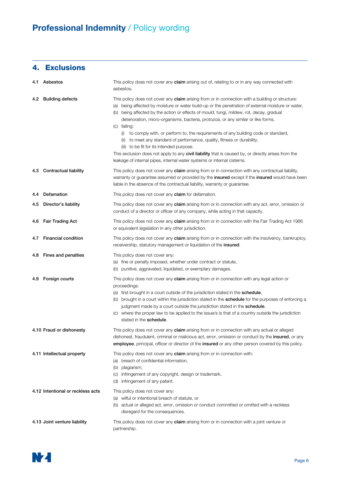## 4. Exclusions

|     | 4.1 Asbestos                      | This policy does not cover any <b>claim</b> arising out of, relating to or in any way connected with<br>asbestos.                                                                                                                                                                                                                                                                                                                                                                                                                                                                                                                                                                                                                                                                                                   |
|-----|-----------------------------------|---------------------------------------------------------------------------------------------------------------------------------------------------------------------------------------------------------------------------------------------------------------------------------------------------------------------------------------------------------------------------------------------------------------------------------------------------------------------------------------------------------------------------------------------------------------------------------------------------------------------------------------------------------------------------------------------------------------------------------------------------------------------------------------------------------------------|
| 4.2 | <b>Building defects</b>           | This policy does not cover any <b>claim</b> arising from or in connection with a building or structure:<br>(a) being affected by moisture or water build-up or the penetration of external moisture or water,<br>(b) being affected by the action or effects of mould, fungi, mildew, rot, decay, gradual<br>deterioration, micro-organisms, bacteria, protozoa, or any similar or like forms,<br>(c) failing:<br>(i) to comply with, or perform to, the requirements of any building code or standard,<br>(ii) to meet any standard of performance, quality, fitness or durability,<br>(iii) to be fit for its intended purpose.<br>This exclusion does not apply to any civil liability that is caused by, or directly arises from the<br>leakage of internal pipes, internal water systems or internal cisterns. |
| 4.3 | <b>Contractual liability</b>      | This policy does not cover any claim arising from or in connection with any contractual liability,<br>warranty or guarantee assumed or provided by the <b>insured</b> except if the <b>insured</b> would have been<br>liable in the absence of the contractual liability, warranty or guarantee.                                                                                                                                                                                                                                                                                                                                                                                                                                                                                                                    |
| 4.4 | Defamation                        | This policy does not cover any <b>claim</b> for defamation.                                                                                                                                                                                                                                                                                                                                                                                                                                                                                                                                                                                                                                                                                                                                                         |
| 4.5 | Director's liability              | This policy does not cover any <b>claim</b> arising from or in connection with any act, error, omission or<br>conduct of a director or officer of any company, while acting in that capacity.                                                                                                                                                                                                                                                                                                                                                                                                                                                                                                                                                                                                                       |
| 4.6 | <b>Fair Trading Act</b>           | This policy does not cover any claim arising from or in connection with the Fair Trading Act 1986<br>or equivalent legislation in any other jurisdiction.                                                                                                                                                                                                                                                                                                                                                                                                                                                                                                                                                                                                                                                           |
| 4.7 | <b>Financial condition</b>        | This policy does not cover any <b>claim</b> arising from or in connection with the insolvency, bankruptcy,<br>receivership, statutory management or liquidation of the insured.                                                                                                                                                                                                                                                                                                                                                                                                                                                                                                                                                                                                                                     |
| 4.8 | Fines and penalties               | This policy does not cover any:<br>(a) fine or penalty imposed, whether under contract or statute,<br>(b) punitive, aggravated, liquidated, or exemplary damages.                                                                                                                                                                                                                                                                                                                                                                                                                                                                                                                                                                                                                                                   |
| 4.9 | Foreign courts                    | This policy does not cover any claim arising from or in connection with any legal action or<br>proceedings:<br>(a) first brought in a court outside of the jurisdiction stated in the schedule,<br>(b) brought in a court within the jurisdiction stated in the <b>schedule</b> for the purposes of enforcing a<br>judgment made by a court outside the jurisdiction stated in the schedule,<br>(c) where the proper law to be applied to the issue/s is that of a country outside the jurisdiction<br>stated in the <b>schedule</b> .                                                                                                                                                                                                                                                                              |
|     | 4.10 Fraud or dishonesty          | This policy does not cover any claim arising from or in connection with any actual or alleged<br>dishonest, fraudulent, criminal or malicious act, error, omission or conduct by the <b>insured</b> , or any<br>employee, principal, officer or director of the insured or any other person covered by this policy.                                                                                                                                                                                                                                                                                                                                                                                                                                                                                                 |
|     | 4.11 Intellectual property        | This policy does not cover any <b>claim</b> arising from or in connection with:<br>breach of confidential information,<br>(a)<br>plagiarism,<br>(b)<br>infringement of any copyright, design or trademark,<br>(C)<br>infringement of any patent.<br>(d)                                                                                                                                                                                                                                                                                                                                                                                                                                                                                                                                                             |
|     | 4.12 Intentional or reckless acts | This policy does not cover any:<br>(a) wilful or intentional breach of statute, or<br>(b) actual or alleged act, error, omission or conduct committed or omitted with a reckless<br>disregard for the consequences.                                                                                                                                                                                                                                                                                                                                                                                                                                                                                                                                                                                                 |
|     | 4.13 Joint venture liability      | This policy does not cover any <b>claim</b> arising from or in connection with a joint venture or<br>partnership.                                                                                                                                                                                                                                                                                                                                                                                                                                                                                                                                                                                                                                                                                                   |

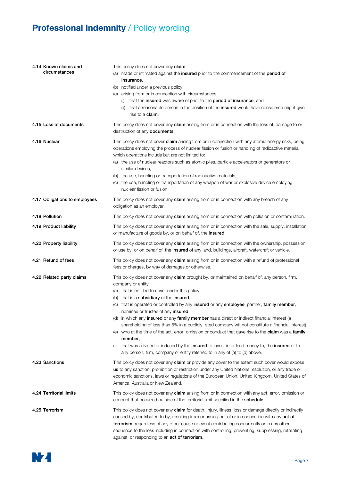| 4.14 Known claims and<br>circumstances | This policy does not cover any claim:<br>(a) made or intimated against the insured prior to the commencement of the period of<br>insurance,<br>(b) notified under a previous policy,<br>(c) arising from or in connection with circumstances:<br>(i) that the insured was aware of prior to the period of insurance, and<br>that a reasonable person in the position of the <b>insured</b> would have considered might give<br>(ii)<br>rise to a <b>claim</b> .                                                                                                                                                                                                                                                                                                                                                                                                                                                       |  |
|----------------------------------------|-----------------------------------------------------------------------------------------------------------------------------------------------------------------------------------------------------------------------------------------------------------------------------------------------------------------------------------------------------------------------------------------------------------------------------------------------------------------------------------------------------------------------------------------------------------------------------------------------------------------------------------------------------------------------------------------------------------------------------------------------------------------------------------------------------------------------------------------------------------------------------------------------------------------------|--|
| 4.15 Loss of documents                 | This policy does not cover any claim arising from or in connection with the loss of, damage to or<br>destruction of any documents.                                                                                                                                                                                                                                                                                                                                                                                                                                                                                                                                                                                                                                                                                                                                                                                    |  |
| 4.16 Nuclear                           | This policy does not cover <b>claim</b> arising from or in connection with any atomic energy risks, being<br>operations employing the process of nuclear fission or fusion or handling of radioactive material,<br>which operations include but are not limited to:<br>(a) the use of nuclear reactors such as atomic piles, particle accelerators or generators or<br>similar devices,<br>(b) the use, handling or transportation of radioactive materials,<br>(c) the use, handling or transportation of any weapon of war or explosive device employing<br>nuclear fission or fusion.                                                                                                                                                                                                                                                                                                                              |  |
| 4.17 Obligations to employees          | This policy does not cover any claim arising from or in connection with any breach of any<br>obligation as an employer.                                                                                                                                                                                                                                                                                                                                                                                                                                                                                                                                                                                                                                                                                                                                                                                               |  |
| 4.18 Pollution                         | This policy does not cover any <b>claim</b> arising from or in connection with pollution or contamination.                                                                                                                                                                                                                                                                                                                                                                                                                                                                                                                                                                                                                                                                                                                                                                                                            |  |
| 4.19 Product liability                 | This policy does not cover any <b>claim</b> arising from or in connection with the sale, supply, installation<br>or manufacture of goods by, or on behalf of, the insured.                                                                                                                                                                                                                                                                                                                                                                                                                                                                                                                                                                                                                                                                                                                                            |  |
| 4.20 Property liability                | This policy does not cover any <b>claim</b> arising from or in connection with the ownership, possession<br>or use by, or on behalf of, the <b>insured</b> of any land, buildings, aircraft, watercraft or vehicle.                                                                                                                                                                                                                                                                                                                                                                                                                                                                                                                                                                                                                                                                                                   |  |
| 4.21 Refund of fees                    | This policy does not cover any <b>claim</b> arising from or in connection with a refund of professional<br>fees or charges, by way of damages or otherwise.                                                                                                                                                                                                                                                                                                                                                                                                                                                                                                                                                                                                                                                                                                                                                           |  |
| 4.22 Related party claims              | This policy does not cover any <b>claim</b> brought by, or maintained on behalf of, any person, firm,<br>company or entity:<br>(a) that is entitled to cover under this policy,<br>(b) that is a subsidiary of the insured,<br>that is operated or controlled by any insured or any employee, partner, family member,<br>(C)<br>nominee or trustee of any <b>insured</b> ,<br>(d) in which any <b>insured</b> or any <b>family member</b> has a direct or indirect financial interest (a<br>shareholding of less than 5% in a publicly listed company will not constitute a financial interest),<br>(e) who at the time of the act, error, omission or conduct that gave rise to the <b>claim</b> was a <b>family</b><br>member.<br>that was advised or induced by the insured to invest in or lend money to, the insured or to<br>(t)<br>any person, firm, company or entity referred to in any of (a) to (d) above. |  |
| 4.23 Sanctions                         | This policy does not cover any <b>claim</b> or provide any cover to the extent such cover would expose<br>us to any sanction, prohibition or restriction under any United Nations resolution, or any trade or<br>economic sanctions, laws or regulations of the European Union, United Kingdom, United States of<br>America, Australia or New Zealand.                                                                                                                                                                                                                                                                                                                                                                                                                                                                                                                                                                |  |
| 4.24 Territorial limits                | This policy does not cover any <b>claim</b> arising from or in connection with any act, error, omission or<br>conduct that occurred outside of the territorial limit specified in the schedule.                                                                                                                                                                                                                                                                                                                                                                                                                                                                                                                                                                                                                                                                                                                       |  |
| 4.25 Terrorism                         | This policy does not cover any <b>claim</b> for death, injury, illness, loss or damage directly or indirectly<br>caused by, contributed to by, resulting from or arising out of or in connection with any act of<br>terrorism, regardless of any other cause or event contributing concurrently or in any other<br>sequence to the loss including in connection with controlling, preventing, suppressing, retaliating<br>against, or responding to an act of terrorism.                                                                                                                                                                                                                                                                                                                                                                                                                                              |  |

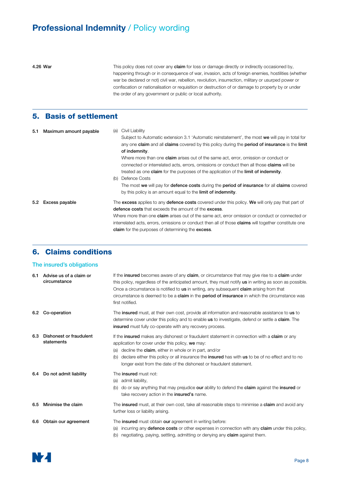4.26 War This policy does not cover any claim for loss or damage directly or indirectly occasioned by, happening through or in consequence of war, invasion, acts of foreign enemies, hostilities (whether war be declared or not) civil war, rebellion, revolution, insurrection, military or usurped power or confiscation or nationalisation or requisition or destruction of or damage to property by or under the order of any government or public or local authority.

## 5. Basis of settlement

| 5.1 | Maximum amount payable | (a)<br>(b) | Civil Liability<br>Subject to Automatic extension 3.1 'Automatic reinstatement', the most we will pay in total for<br>any one claim and all claims covered by this policy during the period of insurance is the limit<br>of indemnity.<br>Where more than one <b>claim</b> arises out of the same act, error, omission or conduct or<br>connected or interrelated acts, errors, omissions or conduct then all those claims will be<br>treated as one <b>claim</b> for the purposes of the application of the <b>limit of indemnity</b> .<br>Defence Costs<br>The most we will pay for defence costs during the period of insurance for all claims covered<br>by this policy is an amount equal to the <b>limit of indemnity</b> . |
|-----|------------------------|------------|-----------------------------------------------------------------------------------------------------------------------------------------------------------------------------------------------------------------------------------------------------------------------------------------------------------------------------------------------------------------------------------------------------------------------------------------------------------------------------------------------------------------------------------------------------------------------------------------------------------------------------------------------------------------------------------------------------------------------------------|
| 5.2 | Excess payable         |            | The excess applies to any defence costs covered under this policy. We will only pay that part of<br><b>defence costs</b> that exceeds the amount of the <b>excess</b> .<br>Where more than one <b>claim</b> arises out of the same act, error omission or conduct or connected or<br>interrelated acts, errors, omissions or conduct then all of those <b>claims</b> will together constitute one<br>claim for the purposes of determining the excess.                                                                                                                                                                                                                                                                            |

#### 6. Claims conditions

#### The insured's obligations

| 6.1 | Advise us of a claim or<br>circumstance | If the insured becomes aware of any claim, or circumstance that may give rise to a claim under<br>this policy, regardless of the anticipated amount, they must notify <b>us</b> in writing as soon as possible.<br>Once a circumstance is notified to <b>us</b> in writing, any subsequent <b>claim</b> arising from that<br>circumstance is deemed to be a <b>claim</b> in the <b>period of insurance</b> in which the circumstance was<br>first notified. |
|-----|-----------------------------------------|-------------------------------------------------------------------------------------------------------------------------------------------------------------------------------------------------------------------------------------------------------------------------------------------------------------------------------------------------------------------------------------------------------------------------------------------------------------|
| 6.2 | Co-operation                            | The insured must, at their own cost, provide all information and reasonable assistance to us to<br>determine cover under this policy and to enable us to investigate, defend or settle a claim. The<br><b>insured</b> must fully co-operate with any recovery process.                                                                                                                                                                                      |
| 6.3 | Dishonest or fraudulent<br>statements   | If the insured makes any dishonest or fraudulent statement in connection with a claim or any<br>application for cover under this policy, we may:<br>decline the <b>claim</b> , either in whole or in part, and/or<br>(a)<br>declare either this policy or all insurance the <b>insured</b> has with <b>us</b> to be of no effect and to no<br>(b)<br>longer exist from the date of the dishonest or fraudulent statement.                                   |
| 6.4 | Do not admit liability                  | The <b>insured</b> must not:<br>admit liability,<br>(a)<br>do or say anything that may prejudice our ability to defend the claim against the insured or<br>(b)<br>take recovery action in the <b>insured's</b> name.                                                                                                                                                                                                                                        |
| 6.5 | Minimise the claim                      | The insured must, at their own cost, take all reasonable steps to minimise a claim and avoid any<br>further loss or liability arising.                                                                                                                                                                                                                                                                                                                      |
| 6.6 | Obtain our agreement                    | The <b>insured</b> must obtain <b>our</b> agreement in writing before:<br>incurring any <b>defence costs</b> or other expenses in connection with any <b>claim</b> under this policy,<br>(a)<br>negotiating, paying, settling, admitting or denying any <b>claim</b> against them.<br>(b)                                                                                                                                                                   |

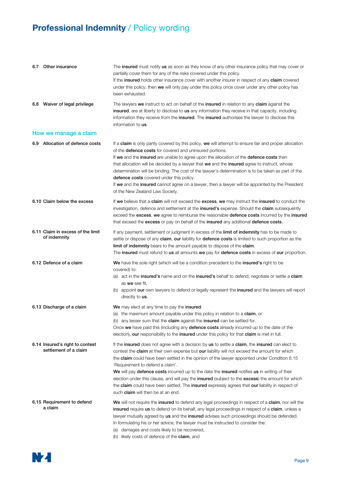| 6.7 Other insurance                                      | The insured must notify us as soon as they know of any other insurance policy that may cover or<br>partially cover them for any of the risks covered under this policy.<br>If the <b>insured</b> holds other insurance cover with another insurer in respect of any <b>claim</b> covered<br>under this policy, then we will only pay under this policy once cover under any other policy has<br>been exhausted.                                                                                                                                                                                                                                                                                            |
|----------------------------------------------------------|------------------------------------------------------------------------------------------------------------------------------------------------------------------------------------------------------------------------------------------------------------------------------------------------------------------------------------------------------------------------------------------------------------------------------------------------------------------------------------------------------------------------------------------------------------------------------------------------------------------------------------------------------------------------------------------------------------|
| 6.8 Waiver of legal privilege                            | The lawyers we instruct to act on behalf of the insured in relation to any claim against the<br>insured, are at liberty to disclose to us any information they receive in that capacity, including<br>information they receive from the <b>insured</b> . The <b>insured</b> authorises the lawyer to disclose this<br>information to us.                                                                                                                                                                                                                                                                                                                                                                   |
| How we manage a claim                                    |                                                                                                                                                                                                                                                                                                                                                                                                                                                                                                                                                                                                                                                                                                            |
| 6.9 Allocation of defence costs                          | If a claim is only partly covered by this policy, we will attempt to ensure fair and proper allocation<br>of the <b>defence costs</b> for covered and uninsured portions.<br>If we and the insured are unable to agree upon the allocation of the defence costs then<br>that allocation will be decided by a lawyer that we and the insured agree to instruct, whose<br>determination will be binding. The cost of the lawyer's determination is to be taken as part of the<br>defence costs covered under this policy.<br>If we and the insured cannot agree on a lawyer, then a lawyer will be appointed by the President<br>of the New Zealand Law Society.                                             |
| 6.10 Claim below the excess                              | If we believe that a claim will not exceed the excess, we may instruct the insured to conduct the<br>investigation, defence and settlement at the insured's expense. Should the claim subsequently<br>exceed the excess, we agree to reimburse the reasonable defence costs incurred by the insured<br>that exceed the excess or pay on behalf of the insured any additional defence costs.                                                                                                                                                                                                                                                                                                                |
| 6.11 Claim in excess of the limit<br>of indemnity        | If any payment, settlement or judgment in excess of the limit of indemnity has to be made to<br>settle or dispose of any claim, our liability for defence costs is limited to such proportion as the<br>limit of indemnity bears to the amount payable to dispose of the claim.<br>The insured must refund to us all amounts we pay for defence costs in excess of our proportion.                                                                                                                                                                                                                                                                                                                         |
| 6.12 Defence of a claim                                  | We have the sole right (which will be a condition precedent to the insured's right to be<br>covered) to:<br>(a) act in the insured's name and on the insured's behalf to defend, negotiate or settle a claim<br>as we see fit.<br>(b) appoint our own lawyers to defend or legally represent the insured and the lawyers will report<br>directly to us.                                                                                                                                                                                                                                                                                                                                                    |
| 6.13 Discharge of a claim                                | We may elect at any time to pay the insured:<br>(a) the maximum amount payable under this policy in relation to a <b>claim</b> , or<br>(b) any lesser sum that the claim against the insured can be settled for.<br>Once we have paid this (including any defence costs already incurred up to the date of the<br>election), our responsibility to the insured under this policy for that claim is met in full.                                                                                                                                                                                                                                                                                            |
| 6.14 Insured's right to contest<br>settlement of a claim | If the insured does not agree with a decision by us to settle a claim, the insured can elect to<br>contest the <b>claim</b> at their own expense but <b>our</b> liability will not exceed the amount for which<br>the claim could have been settled in the opinion of the lawyer appointed under Condition 6.15<br>'Requirement to defend a claim'.<br>We will pay defence costs incurred up to the date the insured notifies us in writing of their<br>election under this clause, and will pay the insured (subject to the excess) the amount for which<br>the claim could have been settled. The insured expressly agrees that our liability in respect of<br>such <b>claim</b> will then be at an end. |
| 6.15 Requirement to defend<br>a claim                    | We will not require the insured to defend any legal proceedings in respect of a claim, nor will the<br>insured require us to defend on its behalf, any legal proceedings in respect of a claim, unless a<br>lawyer mutually agreed by us and the insured advises such proceedings should be defended.<br>In formulating his or her advice, the lawyer must be instructed to consider the:<br>damages and costs likely to be recovered,<br>(a)<br>(b) likely costs of defence of the <b>claim</b> , and                                                                                                                                                                                                     |

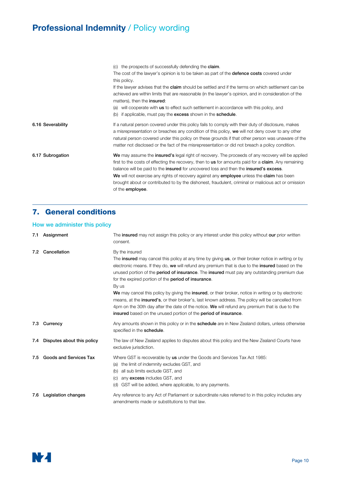|                   | (c) the prospects of successfully defending the <b>claim</b> .                                                                                                                                                                                                                                                                                                                                                                                                                                                  |
|-------------------|-----------------------------------------------------------------------------------------------------------------------------------------------------------------------------------------------------------------------------------------------------------------------------------------------------------------------------------------------------------------------------------------------------------------------------------------------------------------------------------------------------------------|
|                   | The cost of the lawyer's opinion is to be taken as part of the <b>defence costs</b> covered under                                                                                                                                                                                                                                                                                                                                                                                                               |
|                   | this policy.                                                                                                                                                                                                                                                                                                                                                                                                                                                                                                    |
|                   | If the lawyer advises that the <b>claim</b> should be settled and if the terms on which settlement can be                                                                                                                                                                                                                                                                                                                                                                                                       |
|                   | achieved are within limits that are reasonable (in the lawyer's opinion, and in consideration of the<br>matters), then the <b>insured</b> :                                                                                                                                                                                                                                                                                                                                                                     |
|                   | will cooperate with us to effect such settlement in accordance with this policy, and<br>(a)                                                                                                                                                                                                                                                                                                                                                                                                                     |
|                   | if applicable, must pay the excess shown in the schedule.<br>(b)                                                                                                                                                                                                                                                                                                                                                                                                                                                |
| 6.16 Severability | If a natural person covered under this policy fails to comply with their duty of disclosure, makes<br>a misrepresentation or breaches any condition of this policy, we will not deny cover to any other<br>natural person covered under this policy on these grounds if that other person was unaware of the<br>matter not disclosed or the fact of the misrepresentation or did not breach a policy condition.                                                                                                 |
| 6.17 Subrogation  | We may assume the insured's legal right of recovery. The proceeds of any recovery will be applied<br>first to the costs of effecting the recovery, then to us for amounts paid for a <b>claim</b> . Any remaining<br>balance will be paid to the insured for uncovered loss and then the insured's excess.<br>We will not exercise any rights of recovery against any employee unless the claim has been<br>brought about or contributed to by the dishonest, fraudulent, criminal or malicious act or omission |
|                   | of the <b>employee</b> .                                                                                                                                                                                                                                                                                                                                                                                                                                                                                        |

## 7. General conditions

#### How we administer this policy

| 7.1 | Assignment                    | The insured may not assign this policy or any interest under this policy without our prior written<br>consent.                                                                                                                                                                                                                                                                                                                                                                                                                                                                                                                                                                                                                                                                                                             |
|-----|-------------------------------|----------------------------------------------------------------------------------------------------------------------------------------------------------------------------------------------------------------------------------------------------------------------------------------------------------------------------------------------------------------------------------------------------------------------------------------------------------------------------------------------------------------------------------------------------------------------------------------------------------------------------------------------------------------------------------------------------------------------------------------------------------------------------------------------------------------------------|
| 7.2 | Cancellation                  | By the insured<br>The <b>insured</b> may cancel this policy at any time by giving <b>us</b> , or their broker notice in writing or by<br>electronic means. If they do, we will refund any premium that is due to the insured based on the<br>unused portion of the <b>period of insurance</b> . The <b>insured</b> must pay any outstanding premium due<br>for the expired portion of the <b>period of insurance</b> .<br>By us<br>We may cancel this policy by giving the insured, or their broker, notice in writing or by electronic<br>means, at the <b>insured's</b> , or their broker's, last known address. The policy will be cancelled from<br>4pm on the 30th day after the date of the notice. We will refund any premium that is due to the<br>insured based on the unused portion of the period of insurance. |
| 7.3 | Currency                      | Any amounts shown in this policy or in the <b>schedule</b> are in New Zealand dollars, unless otherwise<br>specified in the schedule.                                                                                                                                                                                                                                                                                                                                                                                                                                                                                                                                                                                                                                                                                      |
| 7.4 | Disputes about this policy    | The law of New Zealand applies to disputes about this policy and the New Zealand Courts have<br>exclusive jurisdiction.                                                                                                                                                                                                                                                                                                                                                                                                                                                                                                                                                                                                                                                                                                    |
| 7.5 | <b>Goods and Services Tax</b> | Where GST is recoverable by us under the Goods and Services Tax Act 1985:<br>the limit of indemnity excludes GST, and<br>(a)<br>all sub limits exclude GST, and<br>(b)<br>any excess includes GST, and<br>(C)<br>GST will be added, where applicable, to any payments.<br>(d)                                                                                                                                                                                                                                                                                                                                                                                                                                                                                                                                              |
| 7.6 | <b>Legislation changes</b>    | Any reference to any Act of Parliament or subordinate rules referred to in this policy includes any<br>amendments made or substitutions to that law.                                                                                                                                                                                                                                                                                                                                                                                                                                                                                                                                                                                                                                                                       |

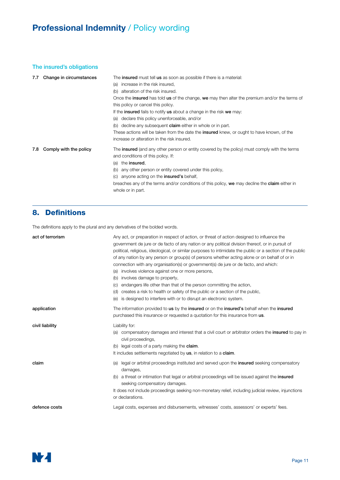#### The insured's obligations

| 7.7 | Change in circumstances | The <b>insured</b> must tell us as soon as possible if there is a material:                                                                                               |
|-----|-------------------------|---------------------------------------------------------------------------------------------------------------------------------------------------------------------------|
|     |                         | increase in the risk insured,<br>(a)                                                                                                                                      |
|     |                         | alteration of the risk insured.<br>(b)                                                                                                                                    |
|     |                         | Once the <b>insured</b> has told us of the change, we may then alter the premium and/or the terms of                                                                      |
|     |                         | this policy or cancel this policy.                                                                                                                                        |
|     |                         | If the <b>insured</b> fails to notify us about a change in the risk we may:                                                                                               |
|     |                         | declare this policy unenforceable, and/or<br>(a)                                                                                                                          |
|     |                         | decline any subsequent <b>claim</b> either in whole or in part.<br>(b)                                                                                                    |
|     |                         | These actions will be taken from the date the <b>insured</b> knew, or ought to have known, of the                                                                         |
|     |                         | increase or alteration in the risk insured.                                                                                                                               |
| 7.8 | Comply with the policy  | The <b>insured</b> (and any other person or entity covered by the policy) must comply with the terms<br>and conditions of this policy. If:<br>the <b>insured</b> ,<br>(a) |
|     |                         | any other person or entity covered under this policy,<br>(b)                                                                                                              |
|     |                         | anyone acting on the <b>insured's</b> behalf,<br>(C)                                                                                                                      |
|     |                         | breaches any of the terms and/or conditions of this policy, we may decline the <b>claim</b> either in                                                                     |
|     |                         | whole or in part.                                                                                                                                                         |
|     |                         |                                                                                                                                                                           |

## 8. Definitions

The definitions apply to the plural and any derivatives of the bolded words.

| act of terrorism | Any act, or preparation in respect of action, or threat of action designed to influence the<br>government de jure or de facto of any nation or any political division thereof, or in pursuit of<br>political, religious, ideological, or similar purposes to intimidate the public or a section of the public<br>of any nation by any person or group(s) of persons whether acting alone or on behalf of or in<br>connection with any organisation(s) or government(s) de jure or de facto, and which:<br>involves violence against one or more persons,<br>(a)<br>involves damage to property,<br>(b)<br>endangers life other than that of the person committing the action,<br>(C)<br>creates a risk to health or safety of the public or a section of the public,<br>(d)<br>is designed to interfere with or to disrupt an electronic system.<br>(e) |
|------------------|---------------------------------------------------------------------------------------------------------------------------------------------------------------------------------------------------------------------------------------------------------------------------------------------------------------------------------------------------------------------------------------------------------------------------------------------------------------------------------------------------------------------------------------------------------------------------------------------------------------------------------------------------------------------------------------------------------------------------------------------------------------------------------------------------------------------------------------------------------|
| application      | The information provided to us by the insured or on the insured's behalf when the insured<br>purchased this insurance or requested a quotation for this insurance from us.                                                                                                                                                                                                                                                                                                                                                                                                                                                                                                                                                                                                                                                                              |
| civil liability  | Liability for:<br>compensatory damages and interest that a civil court or arbitrator orders the <b>insured</b> to pay in<br>(a)<br>civil proceedings,<br>(b) legal costs of a party making the <b>claim</b> .<br>It includes settlements negotiated by us, in relation to a claim.                                                                                                                                                                                                                                                                                                                                                                                                                                                                                                                                                                      |
| claim            | legal or arbitral proceedings instituted and served upon the <b>insured</b> seeking compensatory<br>(a)<br>damages,<br>(b) a threat or intimation that legal or arbitral proceedings will be issued against the <b>insured</b><br>seeking compensatory damages.<br>It does not include proceedings seeking non-monetary relief, including judicial review, injunctions<br>or declarations.                                                                                                                                                                                                                                                                                                                                                                                                                                                              |
| defence costs    | Legal costs, expenses and disbursements, witnesses' costs, assessors' or experts' fees.                                                                                                                                                                                                                                                                                                                                                                                                                                                                                                                                                                                                                                                                                                                                                                 |

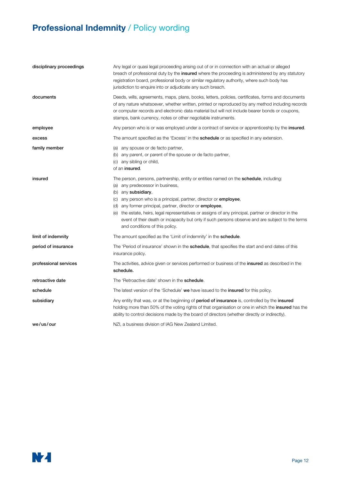| disciplinary proceedings | Any legal or quasi legal proceeding arising out of or in connection with an actual or alleged<br>breach of professional duty by the insured where the proceeding is administered by any statutory<br>registration board, professional body or similar regulatory authority, where such body has<br>jurisdiction to enquire into or adjudicate any such breach.                                                                                                                                                                                           |
|--------------------------|----------------------------------------------------------------------------------------------------------------------------------------------------------------------------------------------------------------------------------------------------------------------------------------------------------------------------------------------------------------------------------------------------------------------------------------------------------------------------------------------------------------------------------------------------------|
| documents                | Deeds, wills, agreements, maps, plans, books, letters, policies, certificates, forms and documents<br>of any nature whatsoever, whether written, printed or reproduced by any method including records<br>or computer records and electronic data material but will not include bearer bonds or coupons,<br>stamps, bank currency, notes or other negotiable instruments.                                                                                                                                                                                |
| employee                 | Any person who is or was employed under a contract of service or apprenticeship by the <b>insured</b> .                                                                                                                                                                                                                                                                                                                                                                                                                                                  |
| excess                   | The amount specified as the 'Excess' in the <b>schedule</b> or as specified in any extension.                                                                                                                                                                                                                                                                                                                                                                                                                                                            |
| family member            | (a) any spouse or de facto partner,<br>(b) any parent, or parent of the spouse or de facto partner,<br>(c) any sibling or child,<br>of an insured.                                                                                                                                                                                                                                                                                                                                                                                                       |
| insured                  | The person, persons, partnership, entity or entities named on the <b>schedule</b> , including:<br>(a) any predecessor in business,<br>(b) any subsidiary,<br>(c) any person who is a principal, partner, director or <b>employee</b> ,<br>(d) any former principal, partner, director or <b>employee</b> ,<br>(e) the estate, heirs, legal representatives or assigns of any principal, partner or director in the<br>event of their death or incapacity but only if such persons observe and are subject to the terms<br>and conditions of this policy. |
| limit of indemnity       | The amount specified as the 'Limit of indemnity' in the <b>schedule</b> .                                                                                                                                                                                                                                                                                                                                                                                                                                                                                |
| period of insurance      | The 'Period of insurance' shown in the <b>schedule</b> , that specifies the start and end dates of this<br>insurance policy.                                                                                                                                                                                                                                                                                                                                                                                                                             |
| professional services    | The activities, advice given or services performed or business of the <b>insured</b> as described in the<br>schedule.                                                                                                                                                                                                                                                                                                                                                                                                                                    |
| retroactive date         | The 'Retroactive date' shown in the schedule.                                                                                                                                                                                                                                                                                                                                                                                                                                                                                                            |
| schedule                 | The latest version of the 'Schedule' we have issued to the insured for this policy.                                                                                                                                                                                                                                                                                                                                                                                                                                                                      |
| subsidiary               | Any entity that was, or at the beginning of <b>period of insurance</b> is, controlled by the <b>insured</b><br>holding more than 50% of the voting rights of that organisation or one in which the <b>insured</b> has the<br>ability to control decisions made by the board of directors (whether directly or indirectly).                                                                                                                                                                                                                               |
| we/us/our                | NZI, a business division of IAG New Zealand Limited.                                                                                                                                                                                                                                                                                                                                                                                                                                                                                                     |